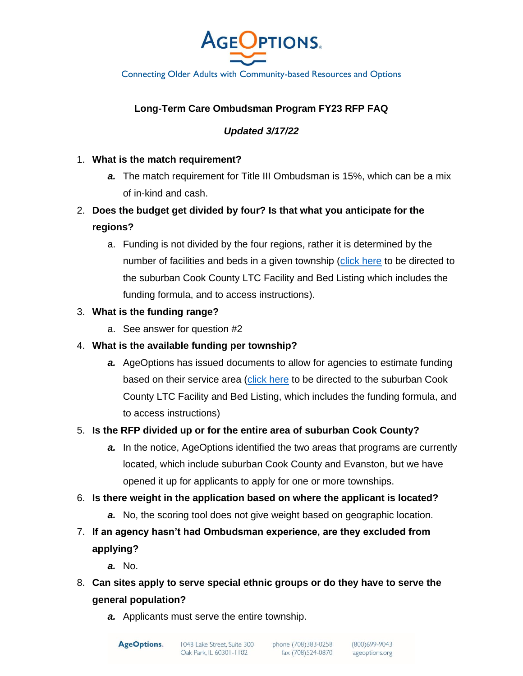

Connecting Older Adults with Community-based Resources and Options

# **Long-Term Care Ombudsman Program FY23 RFP FAQ**

#### *Updated 3/17/22*

#### 1. **What is the match requirement?**

- *a.* The match requirement for Title III Ombudsman is 15%, which can be a mix of in-kind and cash.
- 2. **Does the budget get divided by four? Is that what you anticipate for the regions?** 
	- a. Funding is not divided by the four regions, rather it is determined by the number of facilities and beds in a given township [\(click here](https://www.ageoptions.org/about-ageoptions/for-funded-agencies-and-partners/) to be directed to the suburban Cook County LTC Facility and Bed Listing which includes the funding formula, and to access instructions).

#### 3. **What is the funding range?**

a. See answer for question #2

#### 4. **What is the available funding per township?**

*a.* AgeOptions has issued documents to allow for agencies to estimate funding based on their service area [\(click here](https://www.ageoptions.org/about-ageoptions/for-funded-agencies-and-partners/) to be directed to the suburban Cook County LTC Facility and Bed Listing, which includes the funding formula, and to access instructions)

#### 5. **Is the RFP divided up or for the entire area of suburban Cook County?**

*a.* In the notice, AgeOptions identified the two areas that programs are currently located, which include suburban Cook County and Evanston, but we have opened it up for applicants to apply for one or more townships.

#### 6. **Is there weight in the application based on where the applicant is located?**

- *a.* No, the scoring tool does not give weight based on geographic location.
- 7. **If an agency hasn't had Ombudsman experience, are they excluded from applying?** 
	- *a.* No.
- 8. **Can sites apply to serve special ethnic groups or do they have to serve the general population?** 
	- *a.* Applicants must serve the entire township.

**AgeOptions.** 

phone (708)383-0258 fax (708)524-0870

(800) 699-9043<br>ageoptions.org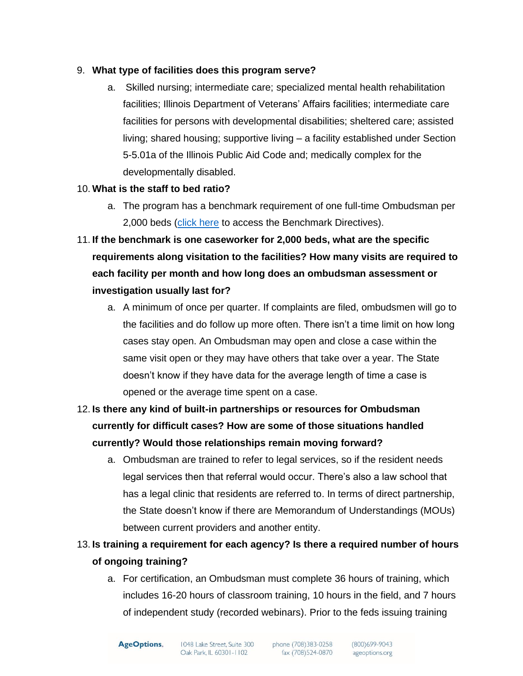## 9. **What type of facilities does this program serve?**

a. Skilled nursing; intermediate care; specialized mental health rehabilitation facilities; Illinois Department of Veterans' Affairs facilities; intermediate care facilities for persons with developmental disabilities; sheltered care; assisted living; shared housing; supportive living – a facility established under Section 5-5.01a of the Illinois Public Aid Code and; medically complex for the developmentally disabled.

## 10. **What is the staff to bed ratio?**

- a. The program has a benchmark requirement of one full-time Ombudsman per 2,000 beds [\(click here](https://www.ageoptions.org/about-ageoptions/for-funded-agencies-and-partners/) to access the Benchmark Directives).
- 11. **If the benchmark is one caseworker for 2,000 beds, what are the specific requirements along visitation to the facilities? How many visits are required to each facility per month and how long does an ombudsman assessment or investigation usually last for?**
	- a. A minimum of once per quarter. If complaints are filed, ombudsmen will go to the facilities and do follow up more often. There isn't a time limit on how long cases stay open. An Ombudsman may open and close a case within the same visit open or they may have others that take over a year. The State doesn't know if they have data for the average length of time a case is opened or the average time spent on a case.
- 12. **Is there any kind of built-in partnerships or resources for Ombudsman currently for difficult cases? How are some of those situations handled currently? Would those relationships remain moving forward?** 
	- a. Ombudsman are trained to refer to legal services, so if the resident needs legal services then that referral would occur. There's also a law school that has a legal clinic that residents are referred to. In terms of direct partnership, the State doesn't know if there are Memorandum of Understandings (MOUs) between current providers and another entity.
- 13. **Is training a requirement for each agency? Is there a required number of hours of ongoing training?**
	- a. For certification, an Ombudsman must complete 36 hours of training, which includes 16-20 hours of classroom training, 10 hours in the field, and 7 hours of independent study (recorded webinars). Prior to the feds issuing training

 $(800)699 - 9043$ (800)699-9043<br>ageoptions.org